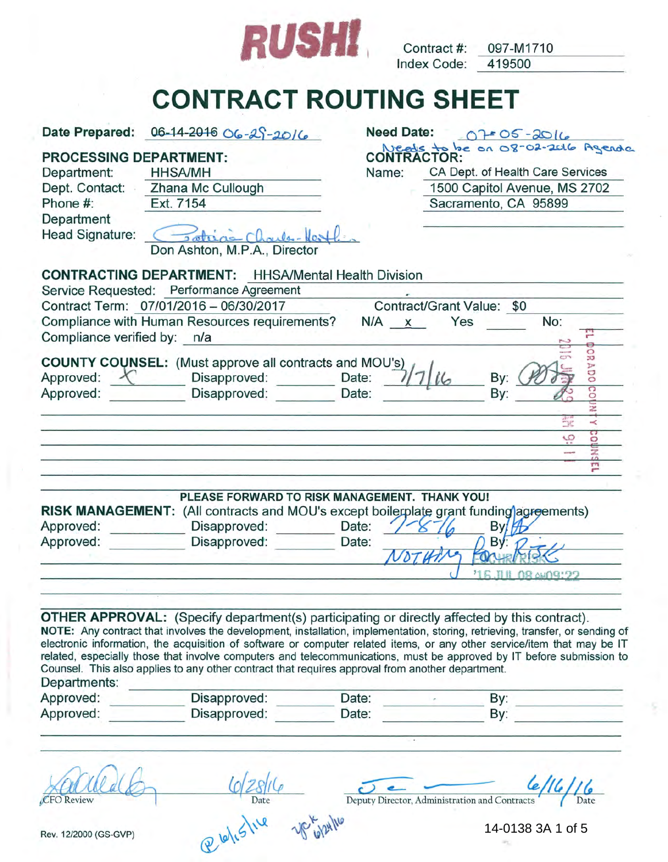

Index Code: Contract #: 097-M1710 419500

**CONTRACT ROUTING SHEET** 

|                                                                | Date Prepared: 06-14-2016 06-29-2016                                                                                                                                                                    | <b>Need Date:</b>           | $0705 - 2016$                                                                                                                                                                                                                                                                                                                                                                   |
|----------------------------------------------------------------|---------------------------------------------------------------------------------------------------------------------------------------------------------------------------------------------------------|-----------------------------|---------------------------------------------------------------------------------------------------------------------------------------------------------------------------------------------------------------------------------------------------------------------------------------------------------------------------------------------------------------------------------|
| <b>PROCESSING DEPARTMENT:</b><br>Department:<br>Dept. Contact: | <b>HHSA/MH</b><br>Zhana Mc Cullough                                                                                                                                                                     | <b>CONTRACTOR:</b><br>Name: | Needs to be on 08-02-2016 Agendo<br>CA Dept. of Health Care Services<br>1500 Capitol Avenue, MS 2702                                                                                                                                                                                                                                                                            |
| Phone #:                                                       | Ext. 7154                                                                                                                                                                                               |                             | Sacramento, CA 95899                                                                                                                                                                                                                                                                                                                                                            |
| Department<br><b>Head Signature:</b>                           | Dateias Charles-Hest<br>Don Ashton, M.P.A., Director                                                                                                                                                    |                             |                                                                                                                                                                                                                                                                                                                                                                                 |
|                                                                | <b>CONTRACTING DEPARTMENT:</b> HHSA/Mental Health Division                                                                                                                                              |                             |                                                                                                                                                                                                                                                                                                                                                                                 |
|                                                                | Service Requested: Performance Agreement                                                                                                                                                                |                             |                                                                                                                                                                                                                                                                                                                                                                                 |
|                                                                | Contract Term: 07/01/2016 - 06/30/2017<br>Compliance with Human Resources requirements?                                                                                                                 |                             | Contract/Grant Value: \$0<br>No:<br>Yes                                                                                                                                                                                                                                                                                                                                         |
| Compliance verified by: n/a                                    |                                                                                                                                                                                                         | $N/A$ $x$                   | 끧                                                                                                                                                                                                                                                                                                                                                                               |
|                                                                | <b>COUNTY COUNSEL:</b> (Must approve all contracts and MOU's)                                                                                                                                           |                             | ទួ                                                                                                                                                                                                                                                                                                                                                                              |
| Approved:<br>$\lambda$                                         | Disapproved:                                                                                                                                                                                            | Date:                       | <b>ADO</b><br>By:                                                                                                                                                                                                                                                                                                                                                               |
| Approved:                                                      | Disapproved:                                                                                                                                                                                            | Date:                       | $\overline{c}$<br>By:                                                                                                                                                                                                                                                                                                                                                           |
|                                                                |                                                                                                                                                                                                         |                             |                                                                                                                                                                                                                                                                                                                                                                                 |
|                                                                |                                                                                                                                                                                                         |                             | ŚŘ<br>u<br>္မ<br>O                                                                                                                                                                                                                                                                                                                                                              |
|                                                                |                                                                                                                                                                                                         |                             | $\frac{2}{10}$                                                                                                                                                                                                                                                                                                                                                                  |
|                                                                |                                                                                                                                                                                                         |                             | m                                                                                                                                                                                                                                                                                                                                                                               |
| Approved:<br>Approved:                                         | PLEASE FORWARD TO RISK MANAGEMENT. THANK YOU!<br>RISK MANAGEMENT: (All contracts and MOU's except boilerplate grant funding agreements)<br>Disapproved:<br>Disapproved:                                 | Date:<br>Date:              | By<br>B٧                                                                                                                                                                                                                                                                                                                                                                        |
|                                                                |                                                                                                                                                                                                         |                             |                                                                                                                                                                                                                                                                                                                                                                                 |
|                                                                |                                                                                                                                                                                                         |                             | <b>MAN BOROMO9:22</b>                                                                                                                                                                                                                                                                                                                                                           |
| Departments:                                                   | <b>OTHER APPROVAL:</b> (Specify department(s) participating or directly affected by this contract).<br>Counsel. This also applies to any other contract that requires approval from another department. |                             | NOTE: Any contract that involves the development, installation, implementation, storing, retrieving, transfer, or sending of<br>electronic information, the acquisition of software or computer related items, or any other service/item that may be IT<br>related, especially those that involve computers and telecommunications, must be approved by IT before submission to |
| Approved:                                                      | Disapproved:                                                                                                                                                                                            | Date:                       | By:<br>By:                                                                                                                                                                                                                                                                                                                                                                      |
| Approved:                                                      | Disapproved:                                                                                                                                                                                            | Date:                       |                                                                                                                                                                                                                                                                                                                                                                                 |
|                                                                |                                                                                                                                                                                                         |                             | Deputy Director, Administration and Contracts                                                                                                                                                                                                                                                                                                                                   |
| Rev. 12/2000 (GS-GVP)                                          | @lelislive                                                                                                                                                                                              |                             | 14-0138 3A 1 of 5                                                                                                                                                                                                                                                                                                                                                               |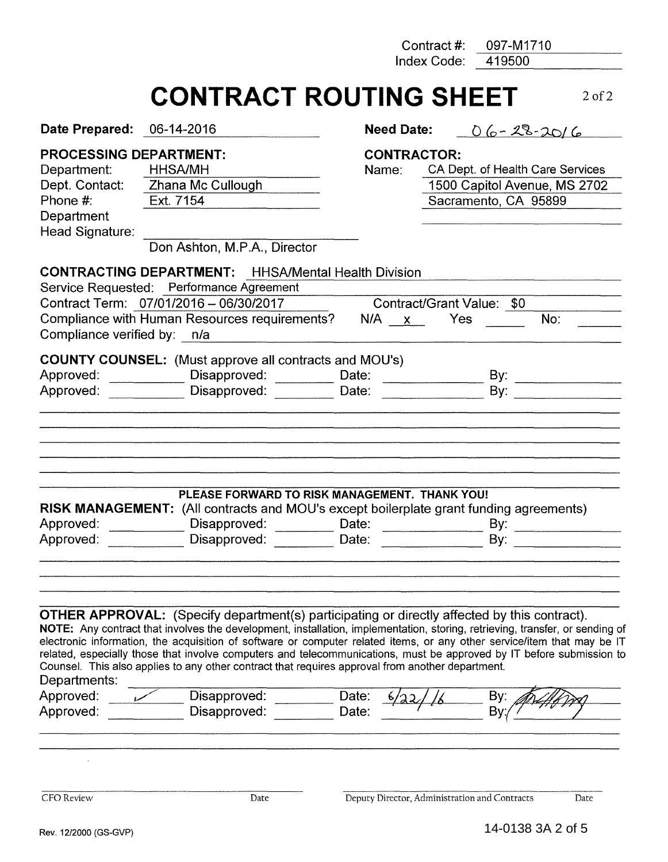Contract#: 097-M1710

Index Code: 419500

# **CONTRACT ROUTING SHEET** 2 of 2

| <b>PROCESSING DEPARTMENT:</b><br><b>CONTRACTOR:</b><br>CA Dept. of Health Care Services<br><b>HHSA/MH</b><br>Department:<br>Name:<br>Dept. Contact: Zhana Mc Cullough<br>1500 Capitol Avenue, MS 2702<br>Phone #:<br>Ext. 7154<br>Sacramento, CA 95899<br>Department<br>Head Signature:<br>Don Ashton, M.P.A., Director<br>Service Requested: Performance Agreement<br>Contract Term: 07/01/2016 - 06/30/2017<br>Contract/Grant Value: \$0<br>Compliance with Human Resources requirements?<br>Yes<br>No:<br>$N/A$ $\times$<br>Compliance verified by: n/a<br>Approved: ______________ Disapproved: _________<br>Date:<br>By: $\overline{\phantom{a}1}$<br>Date:<br>PLEASE FORWARD TO RISK MANAGEMENT. THANK YOU!<br>Disapproved: Date: Date:<br>By: $\qquad \qquad$<br>Disapproved:<br>Date:<br>By:<br>related, especially those that involve computers and telecommunications, must be approved by IT before submission to<br>Disapproved:<br>Date:<br>By:<br>Disapproved:<br>By<br>Date: | Date Prepared: | 06-14-2016 | <b>Need Date:</b> | $06 - 28 - 2016$ |      |
|---------------------------------------------------------------------------------------------------------------------------------------------------------------------------------------------------------------------------------------------------------------------------------------------------------------------------------------------------------------------------------------------------------------------------------------------------------------------------------------------------------------------------------------------------------------------------------------------------------------------------------------------------------------------------------------------------------------------------------------------------------------------------------------------------------------------------------------------------------------------------------------------------------------------------------------------------------------------------------------------|----------------|------------|-------------------|------------------|------|
| <b>CONTRACTING DEPARTMENT:</b> HHSA/Mental Health Division<br><b>COUNTY COUNSEL:</b> (Must approve all contracts and MOU's)<br>Approved: Disapproved:<br>RISK MANAGEMENT: (All contracts and MOU's except boilerplate grant funding agreements)<br>Approved:<br>Approved:<br><b>OTHER APPROVAL:</b> (Specify department(s) participating or directly affected by this contract).<br>NOTE: Any contract that involves the development, installation, implementation, storing, retrieving, transfer, or sending of<br>electronic information, the acquisition of software or computer related items, or any other service/item that may be IT<br>Counsel. This also applies to any other contract that requires approval from another department.<br>Departments:<br>Approved:<br>Approved:                                                                                                                                                                                                   |                |            |                   |                  |      |
|                                                                                                                                                                                                                                                                                                                                                                                                                                                                                                                                                                                                                                                                                                                                                                                                                                                                                                                                                                                             |                |            |                   |                  |      |
|                                                                                                                                                                                                                                                                                                                                                                                                                                                                                                                                                                                                                                                                                                                                                                                                                                                                                                                                                                                             |                |            |                   |                  |      |
|                                                                                                                                                                                                                                                                                                                                                                                                                                                                                                                                                                                                                                                                                                                                                                                                                                                                                                                                                                                             |                |            |                   |                  |      |
|                                                                                                                                                                                                                                                                                                                                                                                                                                                                                                                                                                                                                                                                                                                                                                                                                                                                                                                                                                                             |                |            |                   |                  |      |
| Deputy Director, Administration and Contracts<br>CFO Review<br>Date                                                                                                                                                                                                                                                                                                                                                                                                                                                                                                                                                                                                                                                                                                                                                                                                                                                                                                                         |                |            |                   |                  | Date |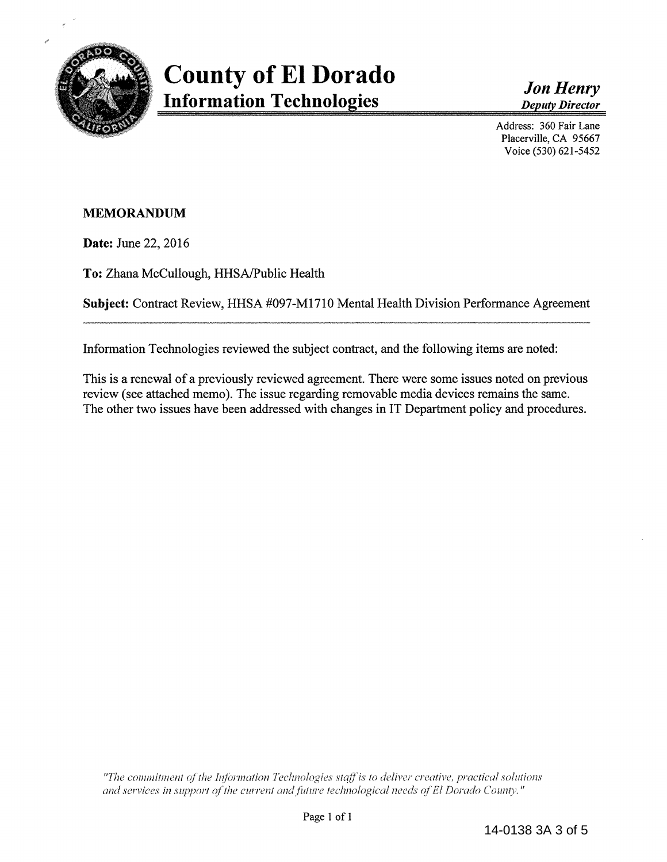

*Jon Henry Deputy Director* 

Address: 360 Fair Lane Placerville, CA 95667 Voice (530) 621-5452

## **MEMORANDUM**

**Date:** June 22, 2016

**To:** Zhana McCullough, HHSA/Public Health

**Subject:** Contract Review, HHSA #097-M1710 Mental Health Division Performance Agreement

Information Technologies reviewed the subject contract, and the following items are noted:

This is a renewal of a previously reviewed agreement. There were some issues noted on previous review (see attached memo). The issue regarding removable media devices remains the same. The other two issues have been addressed with changes in IT Department policy and procedures.

*"The commitment of the Information Technologies staff is to deliver creative, practical solutions and services in support of the current and future technological needs of El Dorado County."*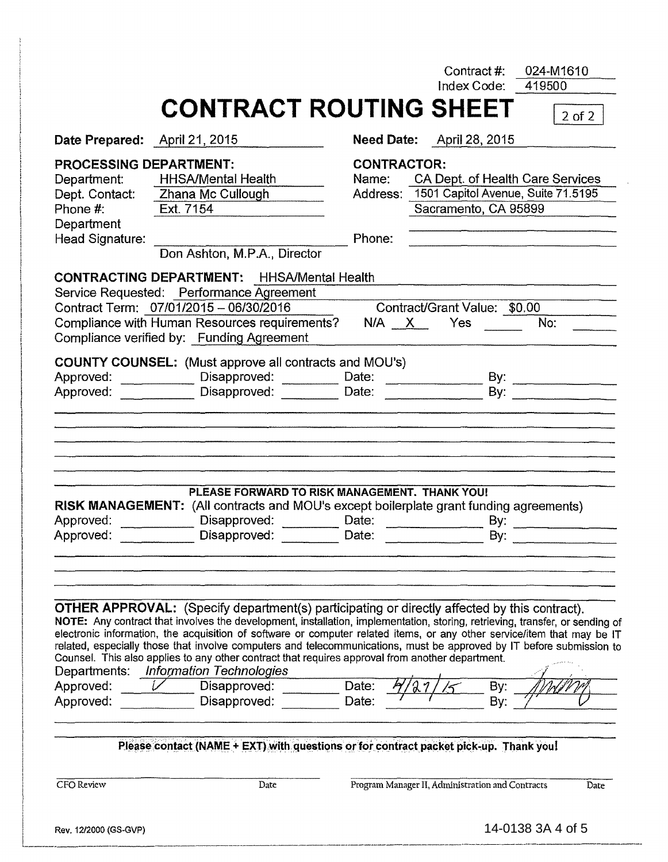|                        |                                                                                                                                                                                                                                                                                                                                                                                                                                                                                                                                                                                            |                           | Contract#:                   | Index Code:    | 419500                                      |
|------------------------|--------------------------------------------------------------------------------------------------------------------------------------------------------------------------------------------------------------------------------------------------------------------------------------------------------------------------------------------------------------------------------------------------------------------------------------------------------------------------------------------------------------------------------------------------------------------------------------------|---------------------------|------------------------------|----------------|---------------------------------------------|
|                        | <b>CONTRACT ROUTING SHEET</b>                                                                                                                                                                                                                                                                                                                                                                                                                                                                                                                                                              |                           |                              |                | $2$ of $2$                                  |
|                        | Date Prepared: April 21, 2015                                                                                                                                                                                                                                                                                                                                                                                                                                                                                                                                                              | Need Date: April 28, 2015 |                              |                |                                             |
|                        | <b>PROCESSING DEPARTMENT:</b>                                                                                                                                                                                                                                                                                                                                                                                                                                                                                                                                                              | <b>CONTRACTOR:</b>        |                              |                |                                             |
| Department:            | HHSA/Mental Health                                                                                                                                                                                                                                                                                                                                                                                                                                                                                                                                                                         |                           |                              |                | Name: CA Dept. of Health Care Services      |
|                        | Dept. Contact: Zhana Mc Cullough                                                                                                                                                                                                                                                                                                                                                                                                                                                                                                                                                           |                           |                              |                | Address: 1501 Capitol Avenue, Suite 71.5195 |
| Phone #:               | Ext. 7154                                                                                                                                                                                                                                                                                                                                                                                                                                                                                                                                                                                  |                           | Sacramento, CA 95899         |                |                                             |
| Department             |                                                                                                                                                                                                                                                                                                                                                                                                                                                                                                                                                                                            |                           |                              |                |                                             |
| Head Signature:        |                                                                                                                                                                                                                                                                                                                                                                                                                                                                                                                                                                                            | Phone:                    |                              |                |                                             |
|                        | Don Ashton, M.P.A., Director                                                                                                                                                                                                                                                                                                                                                                                                                                                                                                                                                               |                           |                              |                |                                             |
|                        | <b>CONTRACTING DEPARTMENT:</b> HHSA/Mental Health                                                                                                                                                                                                                                                                                                                                                                                                                                                                                                                                          |                           |                              |                |                                             |
|                        | Service Requested: Performance Agreement                                                                                                                                                                                                                                                                                                                                                                                                                                                                                                                                                   |                           |                              |                |                                             |
|                        | Contract Term: 07/01/2015 - 06/30/2016                                                                                                                                                                                                                                                                                                                                                                                                                                                                                                                                                     |                           | Contract/Grant Value: \$0.00 |                |                                             |
|                        | Compliance with Human Resources requirements?<br>Compliance verified by: Funding Agreement                                                                                                                                                                                                                                                                                                                                                                                                                                                                                                 | $N/A$ $X$                 | Yes                          |                | No:                                         |
|                        | <b>COUNTY COUNSEL:</b> (Must approve all contracts and MOU's)                                                                                                                                                                                                                                                                                                                                                                                                                                                                                                                              |                           |                              |                |                                             |
|                        | Approved: ______________ Disapproved: _________ Date: __________________                                                                                                                                                                                                                                                                                                                                                                                                                                                                                                                   |                           |                              |                |                                             |
|                        |                                                                                                                                                                                                                                                                                                                                                                                                                                                                                                                                                                                            |                           |                              | $\mathsf{By:}$ |                                             |
| Approved:              | Disapproved:                                                                                                                                                                                                                                                                                                                                                                                                                                                                                                                                                                               | Date:                     |                              |                |                                             |
| Approved:              | PLEASE FORWARD TO RISK MANAGEMENT. THANK YOU!<br>RISK MANAGEMENT: (All contracts and MOU's except boilerplate grant funding agreements)<br>Disapproved:                                                                                                                                                                                                                                                                                                                                                                                                                                    | Date:                     |                              | By:            |                                             |
| Approved:              | Disapproved:                                                                                                                                                                                                                                                                                                                                                                                                                                                                                                                                                                               | Date:                     |                              | By:            |                                             |
|                        | <b>OTHER APPROVAL:</b> (Specify department(s) participating or directly affected by this contract).<br>NOTE: Any contract that involves the development, installation, implementation, storing, retrieving, transfer, or sending of<br>electronic information, the acquisition of software or computer related items, or any other service/item that may be IT<br>related, especially those that involve computers and telecommunications, must be approved by IT before submission to<br>Counsel. This also applies to any other contract that requires approval from another department. |                           |                              |                |                                             |
| Departments:           | <b>Information Technologies</b>                                                                                                                                                                                                                                                                                                                                                                                                                                                                                                                                                            | Date:                     |                              |                |                                             |
| Approved:<br>Approved: | Disapproved:<br>Disapproved:                                                                                                                                                                                                                                                                                                                                                                                                                                                                                                                                                               | Date:                     |                              | By:<br>By:     |                                             |
|                        | Please contact (NAME + EXT) with questions or for contract packet pick-up. Thank you!                                                                                                                                                                                                                                                                                                                                                                                                                                                                                                      |                           |                              |                |                                             |

Rev. 12/2000 (GS-GVP)

--------

' i

I i

I

 $\vert$ I

I

I